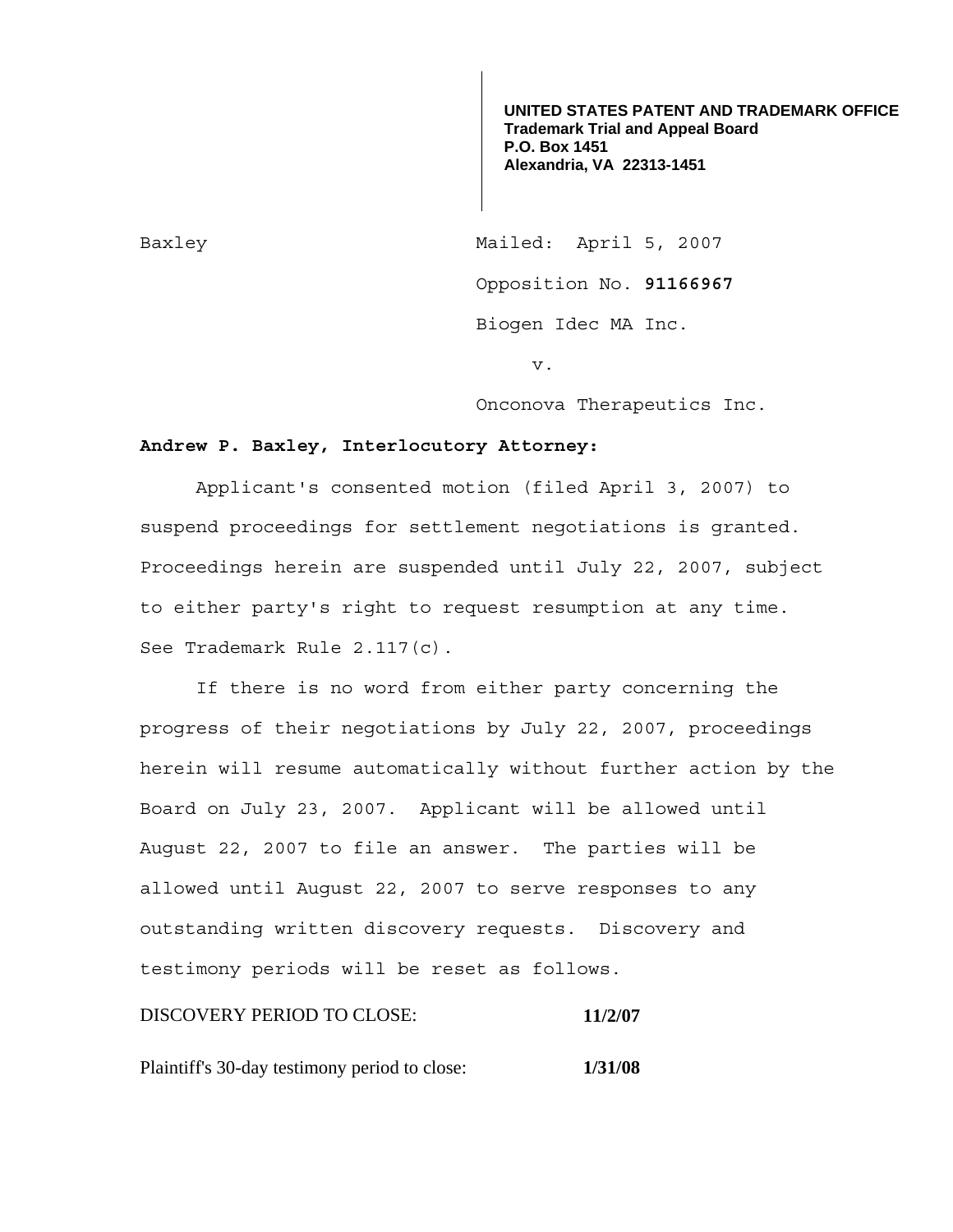**UNITED STATES PATENT AND TRADEMARK OFFICE Trademark Trial and Appeal Board P.O. Box 1451 Alexandria, VA 22313-1451**

Baxley Mailed: April 5, 2007 Opposition No. **91166967**  Biogen Idec MA Inc.

v.

Onconova Therapeutics Inc.

## **Andrew P. Baxley, Interlocutory Attorney:**

 Applicant's consented motion (filed April 3, 2007) to suspend proceedings for settlement negotiations is granted. Proceedings herein are suspended until July 22, 2007, subject to either party's right to request resumption at any time. See Trademark Rule 2.117(c).

 If there is no word from either party concerning the progress of their negotiations by July 22, 2007, proceedings herein will resume automatically without further action by the Board on July 23, 2007. Applicant will be allowed until August 22, 2007 to file an answer. The parties will be allowed until August 22, 2007 to serve responses to any outstanding written discovery requests. Discovery and testimony periods will be reset as follows.

DISCOVERY PERIOD TO CLOSE: **11/2/07**

Plaintiff's 30-day testimony period to close: **1/31/08**